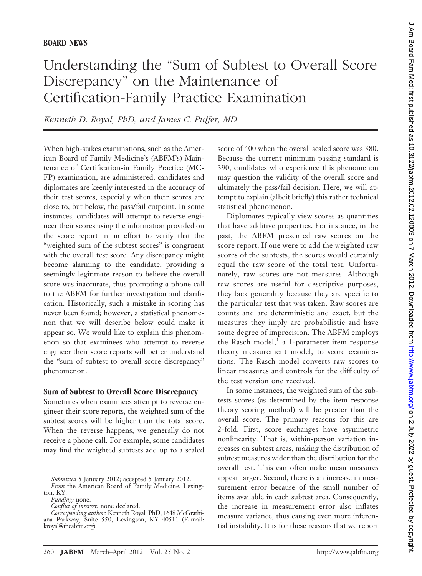# Understanding the "Sum of Subtest to Overall Score Discrepancy" on the Maintenance of Certification-Family Practice Examination

*Kenneth D. Royal, PhD, and James C. Puffer, MD*

When high-stakes examinations, such as the American Board of Family Medicine's (ABFM's) Maintenance of Certification-in Family Practice (MC-FP) examination, are administered, candidates and diplomates are keenly interested in the accuracy of their test scores, especially when their scores are close to, but below, the pass/fail cutpoint. In some instances, candidates will attempt to reverse engineer their scores using the information provided on the score report in an effort to verify that the "weighted sum of the subtest scores" is congruent with the overall test score. Any discrepancy might become alarming to the candidate, providing a seemingly legitimate reason to believe the overall score was inaccurate, thus prompting a phone call to the ABFM for further investigation and clarification. Historically, such a mistake in scoring has never been found; however, a statistical phenomenon that we will describe below could make it appear so. We would like to explain this phenomenon so that examinees who attempt to reverse engineer their score reports will better understand the "sum of subtest to overall score discrepancy" phenomenon.

#### **Sum of Subtest to Overall Score Discrepancy**

Sometimes when examinees attempt to reverse engineer their score reports, the weighted sum of the subtest scores will be higher than the total score. When the reverse happens, we generally do not receive a phone call. For example, some candidates may find the weighted subtests add up to a scaled

score of 400 when the overall scaled score was 380. Because the current minimum passing standard is 390, candidates who experience this phenomenon may question the validity of the overall score and ultimately the pass/fail decision. Here, we will attempt to explain (albeit briefly) this rather technical statistical phenomenon.

Diplomates typically view scores as quantities that have additive properties. For instance, in the past, the ABFM presented raw scores on the score report. If one were to add the weighted raw scores of the subtests, the scores would certainly equal the raw score of the total test. Unfortunately, raw scores are not measures. Although raw scores are useful for descriptive purposes, they lack generality because they are specific to the particular test that was taken. Raw scores are counts and are deterministic and exact, but the measures they imply are probabilistic and have some degree of imprecision. The ABFM employs the Rasch model,<sup>1</sup> a 1-parameter item response theory measurement model, to score examinations. The Rasch model converts raw scores to linear measures and controls for the difficulty of the test version one received.

In some instances, the weighted sum of the subtests scores (as determined by the item response theory scoring method) will be greater than the overall score. The primary reasons for this are 2-fold. First, score exchanges have asymmetric nonlinearity. That is, within-person variation increases on subtest areas, making the distribution of subtest measures wider than the distribution for the overall test. This can often make mean measures appear larger. Second, there is an increase in measurement error because of the small number of items available in each subtest area. Consequently, the increase in measurement error also inflates measure variance, thus causing even more inferential instability. It is for these reasons that we report

*Submitted* 5 January 2012; accepted 5 January 2012.

*From* the American Board of Family Medicine, Lexington, KY.

*Funding:* none.

*Conflict of interest:* none declared.

*Corresponding author:* Kenneth Royal, PhD, 1648 McGrathiana Parkway, Suite 550, Lexington, KY 40511 (E-mail: kroyal@theabfm.org).